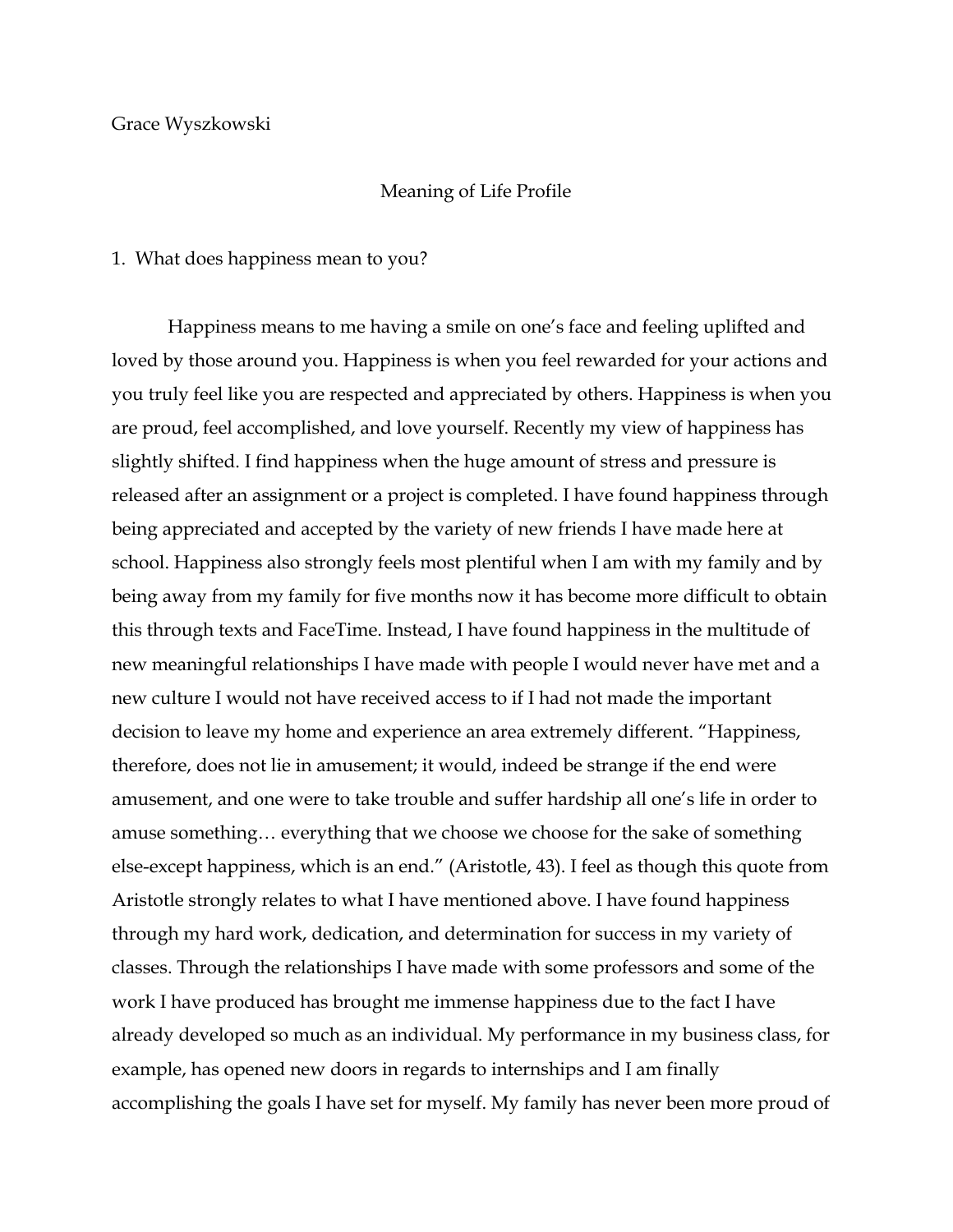## Grace Wyszkowski

## Meaning of Life Profile

## 1. What does happiness mean to you?

Happiness means to me having a smile on one's face and feeling uplifted and loved by those around you. Happiness is when you feel rewarded for your actions and you truly feel like you are respected and appreciated by others. Happiness is when you are proud, feel accomplished, and love yourself. Recently my view of happiness has slightly shifted. I find happiness when the huge amount of stress and pressure is released after an assignment or a project is completed. I have found happiness through being appreciated and accepted by the variety of new friends I have made here at school. Happiness also strongly feels most plentiful when I am with my family and by being away from my family for five months now it has become more difficult to obtain this through texts and FaceTime. Instead, I have found happiness in the multitude of new meaningful relationships I have made with people I would never have met and a new culture I would not have received access to if I had not made the important decision to leave my home and experience an area extremely different. "Happiness, therefore, does not lie in amusement; it would, indeed be strange if the end were amusement, and one were to take trouble and suffer hardship all one's life in order to amuse something… everything that we choose we choose for the sake of something else-except happiness, which is an end." (Aristotle, 43). I feel as though this quote from Aristotle strongly relates to what I have mentioned above. I have found happiness through my hard work, dedication, and determination for success in my variety of classes. Through the relationships I have made with some professors and some of the work I have produced has brought me immense happiness due to the fact I have already developed so much as an individual. My performance in my business class, for example, has opened new doors in regards to internships and I am finally accomplishing the goals I have set for myself. My family has never been more proud of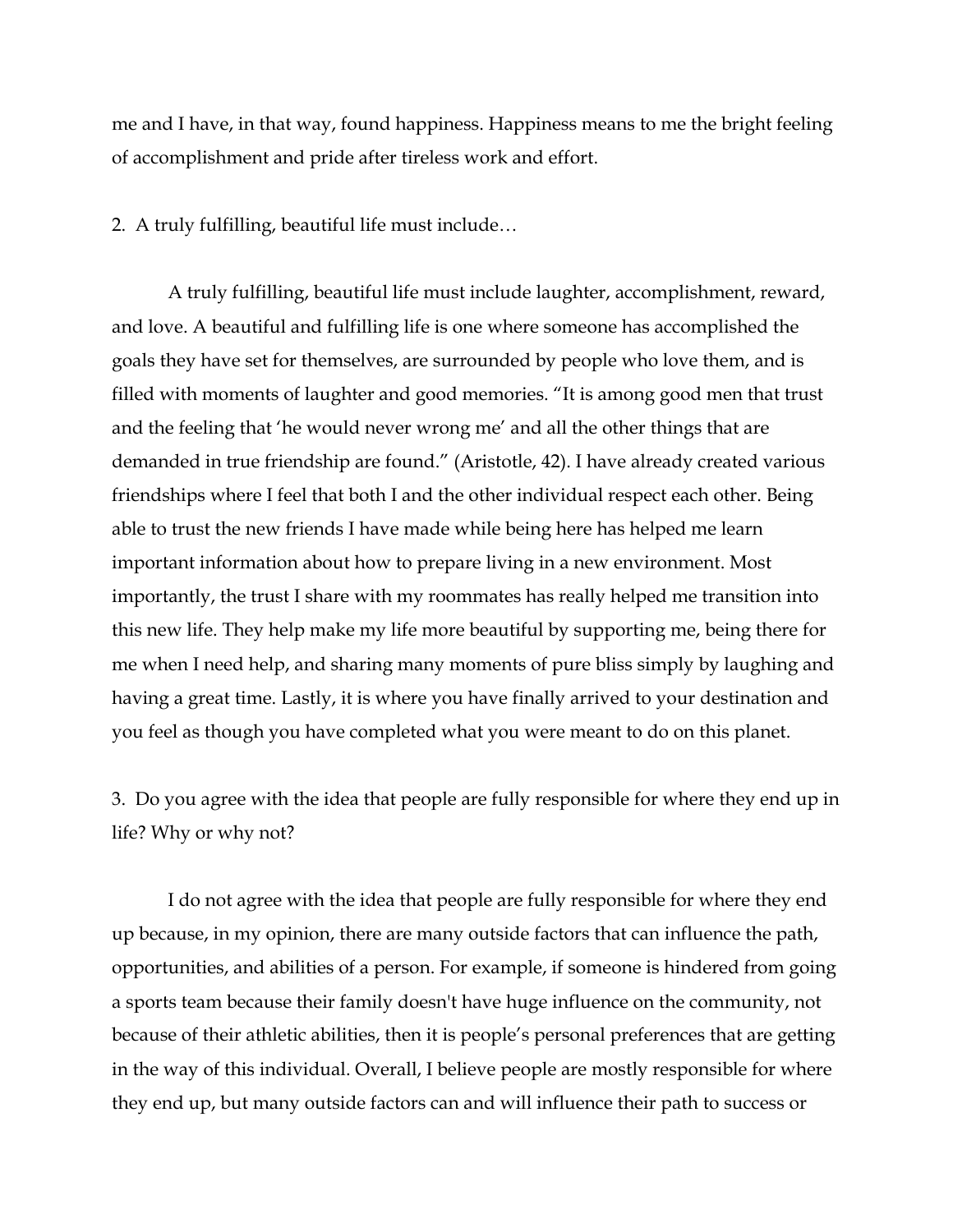me and I have, in that way, found happiness. Happiness means to me the bright feeling of accomplishment and pride after tireless work and effort.

2. A truly fulfilling, beautiful life must include…

A truly fulfilling, beautiful life must include laughter, accomplishment, reward, and love. A beautiful and fulfilling life is one where someone has accomplished the goals they have set for themselves, are surrounded by people who love them, and is filled with moments of laughter and good memories. "It is among good men that trust and the feeling that 'he would never wrong me' and all the other things that are demanded in true friendship are found." (Aristotle, 42). I have already created various friendships where I feel that both I and the other individual respect each other. Being able to trust the new friends I have made while being here has helped me learn important information about how to prepare living in a new environment. Most importantly, the trust I share with my roommates has really helped me transition into this new life. They help make my life more beautiful by supporting me, being there for me when I need help, and sharing many moments of pure bliss simply by laughing and having a great time. Lastly, it is where you have finally arrived to your destination and you feel as though you have completed what you were meant to do on this planet.

3. Do you agree with the idea that people are fully responsible for where they end up in life? Why or why not?

I do not agree with the idea that people are fully responsible for where they end up because, in my opinion, there are many outside factors that can influence the path, opportunities, and abilities of a person. For example, if someone is hindered from going a sports team because their family doesn't have huge influence on the community, not because of their athletic abilities, then it is people's personal preferences that are getting in the way of this individual. Overall, I believe people are mostly responsible for where they end up, but many outside factors can and will influence their path to success or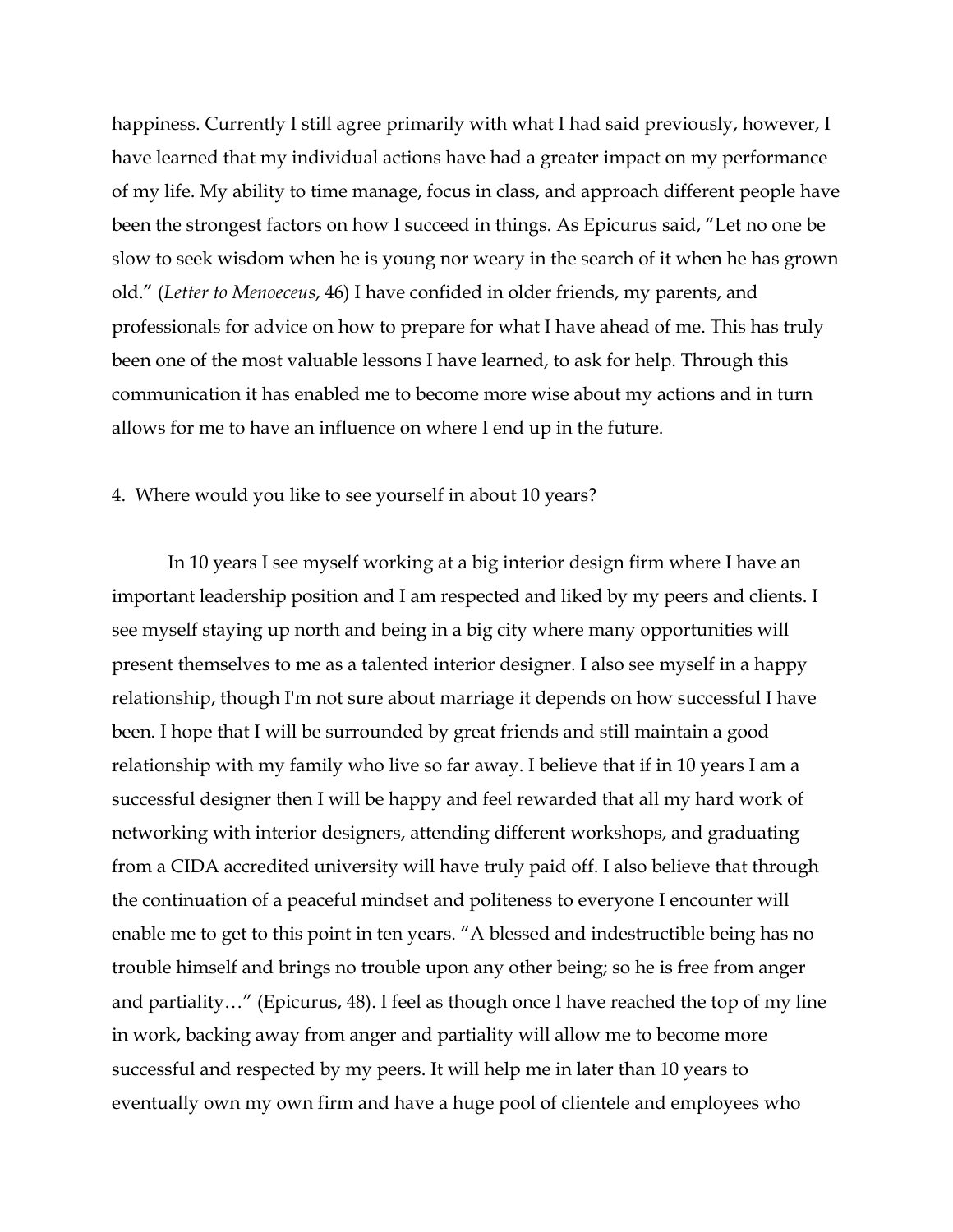happiness. Currently I still agree primarily with what I had said previously, however, I have learned that my individual actions have had a greater impact on my performance of my life. My ability to time manage, focus in class, and approach different people have been the strongest factors on how I succeed in things. As Epicurus said, "Let no one be slow to seek wisdom when he is young nor weary in the search of it when he has grown old." (*Letter to Menoeceus*, 46) I have confided in older friends, my parents, and professionals for advice on how to prepare for what I have ahead of me. This has truly been one of the most valuable lessons I have learned, to ask for help. Through this communication it has enabled me to become more wise about my actions and in turn allows for me to have an influence on where I end up in the future.

## 4. Where would you like to see yourself in about 10 years?

In 10 years I see myself working at a big interior design firm where I have an important leadership position and I am respected and liked by my peers and clients. I see myself staying up north and being in a big city where many opportunities will present themselves to me as a talented interior designer. I also see myself in a happy relationship, though I'm not sure about marriage it depends on how successful I have been. I hope that I will be surrounded by great friends and still maintain a good relationship with my family who live so far away. I believe that if in 10 years I am a successful designer then I will be happy and feel rewarded that all my hard work of networking with interior designers, attending different workshops, and graduating from a CIDA accredited university will have truly paid off. I also believe that through the continuation of a peaceful mindset and politeness to everyone I encounter will enable me to get to this point in ten years. "A blessed and indestructible being has no trouble himself and brings no trouble upon any other being; so he is free from anger and partiality…" (Epicurus, 48). I feel as though once I have reached the top of my line in work, backing away from anger and partiality will allow me to become more successful and respected by my peers. It will help me in later than 10 years to eventually own my own firm and have a huge pool of clientele and employees who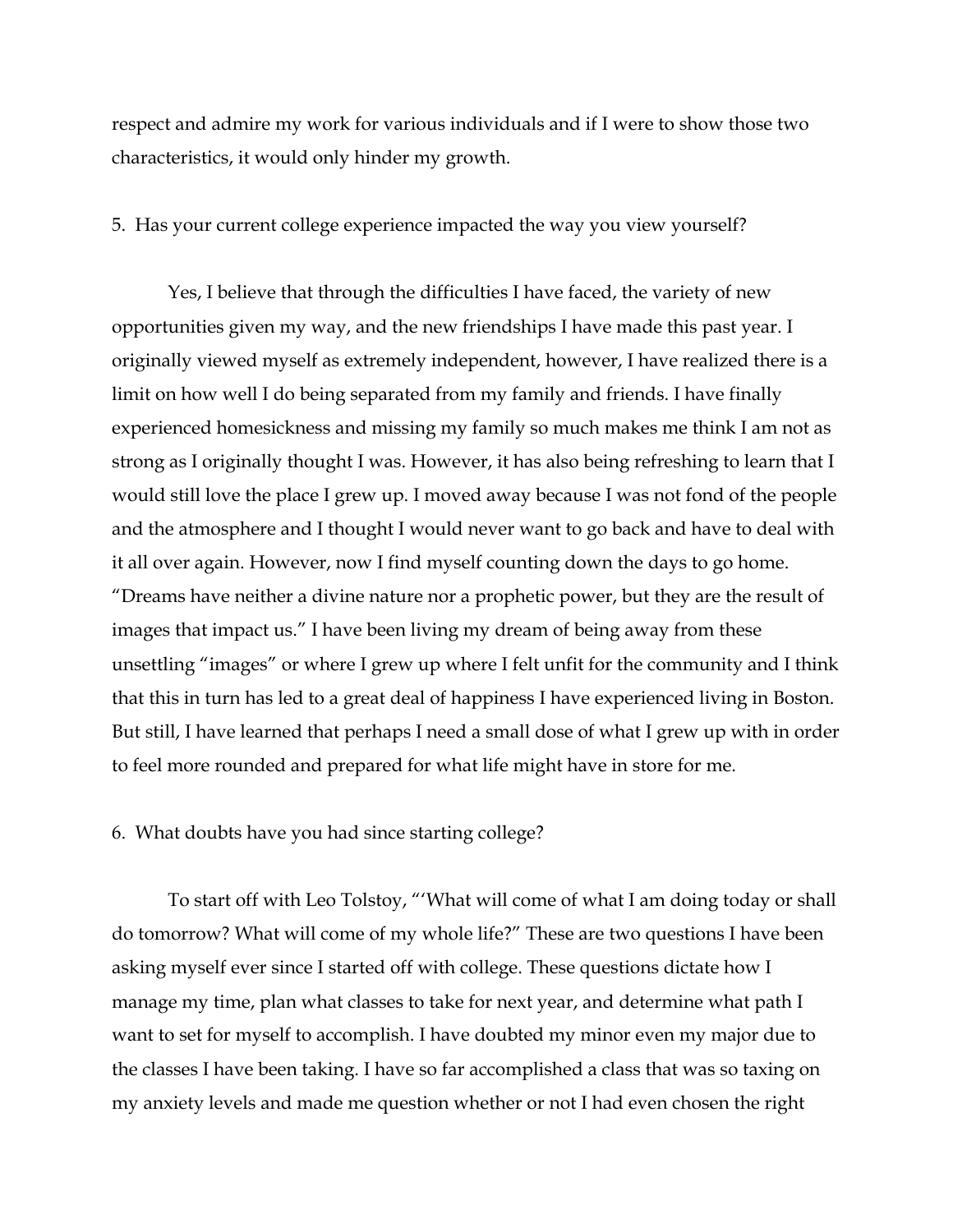respect and admire my work for various individuals and if I were to show those two characteristics, it would only hinder my growth.

5. Has your current college experience impacted the way you view yourself?

Yes, I believe that through the difficulties I have faced, the variety of new opportunities given my way, and the new friendships I have made this past year. I originally viewed myself as extremely independent, however, I have realized there is a limit on how well I do being separated from my family and friends. I have finally experienced homesickness and missing my family so much makes me think I am not as strong as I originally thought I was. However, it has also being refreshing to learn that I would still love the place I grew up. I moved away because I was not fond of the people and the atmosphere and I thought I would never want to go back and have to deal with it all over again. However, now I find myself counting down the days to go home. "Dreams have neither a divine nature nor a prophetic power, but they are the result of images that impact us." I have been living my dream of being away from these unsettling "images" or where I grew up where I felt unfit for the community and I think that this in turn has led to a great deal of happiness I have experienced living in Boston. But still, I have learned that perhaps I need a small dose of what I grew up with in order to feel more rounded and prepared for what life might have in store for me.

6. What doubts have you had since starting college?

To start off with Leo Tolstoy, "'What will come of what I am doing today or shall do tomorrow? What will come of my whole life?" These are two questions I have been asking myself ever since I started off with college. These questions dictate how I manage my time, plan what classes to take for next year, and determine what path I want to set for myself to accomplish. I have doubted my minor even my major due to the classes I have been taking. I have so far accomplished a class that was so taxing on my anxiety levels and made me question whether or not I had even chosen the right